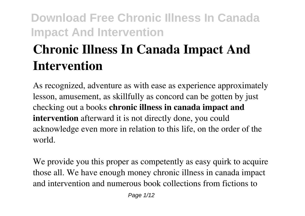# **Chronic Illness In Canada Impact And Intervention**

As recognized, adventure as with ease as experience approximately lesson, amusement, as skillfully as concord can be gotten by just checking out a books **chronic illness in canada impact and intervention** afterward it is not directly done, you could acknowledge even more in relation to this life, on the order of the world.

We provide you this proper as competently as easy quirk to acquire those all. We have enough money chronic illness in canada impact and intervention and numerous book collections from fictions to

Page  $1/12$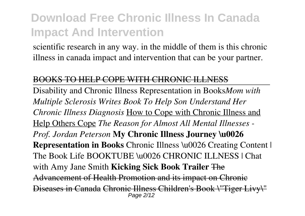scientific research in any way. in the middle of them is this chronic illness in canada impact and intervention that can be your partner.

#### BOOKS TO HELP COPE WITH CHRONIC ILLNESS

Disability and Chronic Illness Representation in Books*Mom with Multiple Sclerosis Writes Book To Help Son Understand Her Chronic Illness Diagnosis* How to Cope with Chronic Illness and Help Others Cope *The Reason for Almost All Mental Illnesses - Prof. Jordan Peterson* **My Chronic Illness Journey \u0026 Representation in Books Chronic Illness \u0026 Creating Content |** The Book Life BOOKTUBE \u0026 CHRONIC ILLNESS | Chat with Amy Jane Smith **Kicking Sick Book Trailer** The Advancement of Health Promotion and its impact on Chronic Diseases in Canada Chronic Illness Children's Book \"Tiger Livy\" Page 2/12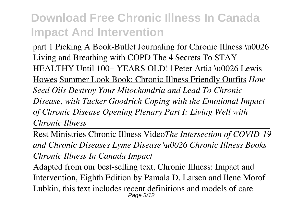part 1 Picking A Book-Bullet Journaling for Chronic Illness \u0026 Living and Breathing with COPD The 4 Secrets To STAY HEALTHY Until 100+ YEARS OLD! | Peter Attia \u0026 Lewis Howes Summer Look Book: Chronic Illness Friendly Outfits *How Seed Oils Destroy Your Mitochondria and Lead To Chronic Disease, with Tucker Goodrich Coping with the Emotional Impact of Chronic Disease Opening Plenary Part I: Living Well with Chronic Illness*

Rest Ministries Chronic Illness Video*The Intersection of COVID-19 and Chronic Diseases Lyme Disease \u0026 Chronic Illness Books Chronic Illness In Canada Impact*

Adapted from our best-selling text, Chronic Illness: Impact and Intervention, Eighth Edition by Pamala D. Larsen and Ilene Morof Lubkin, this text includes recent definitions and models of care Page 3/12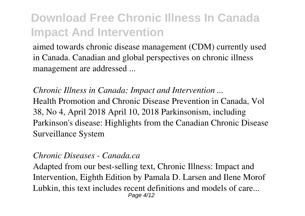aimed towards chronic disease management (CDM) currently used in Canada. Canadian and global perspectives on chronic illness management are addressed ...

*Chronic Illness in Canada: Impact and Intervention ...* Health Promotion and Chronic Disease Prevention in Canada, Vol 38, No 4, April 2018 April 10, 2018 Parkinsonism, including Parkinson's disease: Highlights from the Canadian Chronic Disease Surveillance System

#### *Chronic Diseases - Canada.ca*

Adapted from our best-selling text, Chronic Illness: Impact and Intervention, Eighth Edition by Pamala D. Larsen and Ilene Morof Lubkin, this text includes recent definitions and models of care... Page 4/12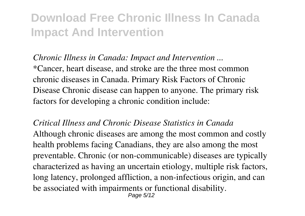*Chronic Illness in Canada: Impact and Intervention ...*

\*Cancer, heart disease, and stroke are the three most common chronic diseases in Canada. Primary Risk Factors of Chronic Disease Chronic disease can happen to anyone. The primary risk factors for developing a chronic condition include:

*Critical Illness and Chronic Disease Statistics in Canada* Although chronic diseases are among the most common and costly health problems facing Canadians, they are also among the most preventable. Chronic (or non-communicable) diseases are typically characterized as having an uncertain etiology, multiple risk factors, long latency, prolonged affliction, a non-infectious origin, and can be associated with impairments or functional disability.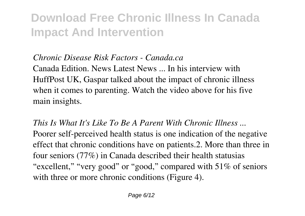#### *Chronic Disease Risk Factors - Canada.ca*

Canada Edition. News Latest News ... In his interview with HuffPost UK, Gaspar talked about the impact of chronic illness when it comes to parenting. Watch the video above for his five main insights.

*This Is What It's Like To Be A Parent With Chronic Illness ...* Poorer self-perceived health status is one indication of the negative effect that chronic conditions have on patients.2. More than three in four seniors (77%) in Canada described their health statusias "excellent," "very good" or "good," compared with 51% of seniors with three or more chronic conditions (Figure 4).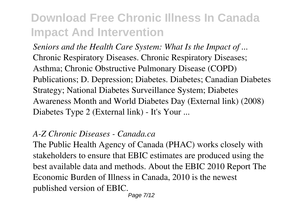*Seniors and the Health Care System: What Is the Impact of ...* Chronic Respiratory Diseases. Chronic Respiratory Diseases; Asthma; Chronic Obstructive Pulmonary Disease (COPD) Publications; D. Depression; Diabetes. Diabetes; Canadian Diabetes Strategy; National Diabetes Surveillance System; Diabetes Awareness Month and World Diabetes Day (External link) (2008) Diabetes Type 2 (External link) - It's Your ...

#### *A-Z Chronic Diseases - Canada.ca*

The Public Health Agency of Canada (PHAC) works closely with stakeholders to ensure that EBIC estimates are produced using the best available data and methods. About the EBIC 2010 Report The Economic Burden of Illness in Canada, 2010 is the newest published version of EBIC.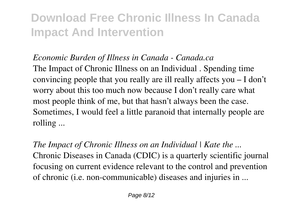#### *Economic Burden of Illness in Canada - Canada.ca*

The Impact of Chronic Illness on an Individual . Spending time convincing people that you really are ill really affects you – I don't worry about this too much now because I don't really care what most people think of me, but that hasn't always been the case. Sometimes, I would feel a little paranoid that internally people are rolling ...

*The Impact of Chronic Illness on an Individual | Kate the ...* Chronic Diseases in Canada (CDIC) is a quarterly scientific journal focusing on current evidence relevant to the control and prevention of chronic (i.e. non-communicable) diseases and injuries in ...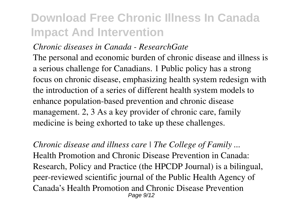#### *Chronic diseases in Canada - ResearchGate*

The personal and economic burden of chronic disease and illness is a serious challenge for Canadians. 1 Public policy has a strong focus on chronic disease, emphasizing health system redesign with the introduction of a series of different health system models to enhance population-based prevention and chronic disease management. 2, 3 As a key provider of chronic care, family medicine is being exhorted to take up these challenges.

*Chronic disease and illness care | The College of Family ...* Health Promotion and Chronic Disease Prevention in Canada: Research, Policy and Practice (the HPCDP Journal) is a bilingual, peer-reviewed scientific journal of the Public Health Agency of Canada's Health Promotion and Chronic Disease Prevention Page  $9/12$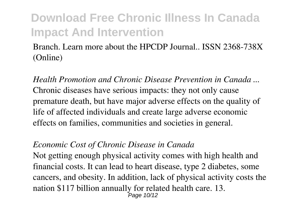Branch. Learn more about the HPCDP Journal.. ISSN 2368-738X (Online)

*Health Promotion and Chronic Disease Prevention in Canada ...* Chronic diseases have serious impacts: they not only cause premature death, but have major adverse effects on the quality of life of affected individuals and create large adverse economic effects on families, communities and societies in general.

#### *Economic Cost of Chronic Disease in Canada*

Not getting enough physical activity comes with high health and financial costs. It can lead to heart disease, type 2 diabetes, some cancers, and obesity. In addition, lack of physical activity costs the nation \$117 billion annually for related health care. 13. Page 10/12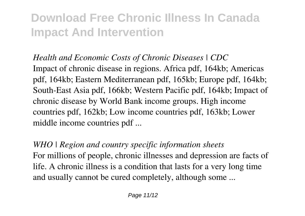*Health and Economic Costs of Chronic Diseases | CDC* Impact of chronic disease in regions. Africa pdf, 164kb; Americas pdf, 164kb; Eastern Mediterranean pdf, 165kb; Europe pdf, 164kb; South-East Asia pdf, 166kb; Western Pacific pdf, 164kb; Impact of chronic disease by World Bank income groups. High income countries pdf, 162kb; Low income countries pdf, 163kb; Lower middle income countries pdf ...

*WHO | Region and country specific information sheets* For millions of people, chronic illnesses and depression are facts of life. A chronic illness is a condition that lasts for a very long time and usually cannot be cured completely, although some ...